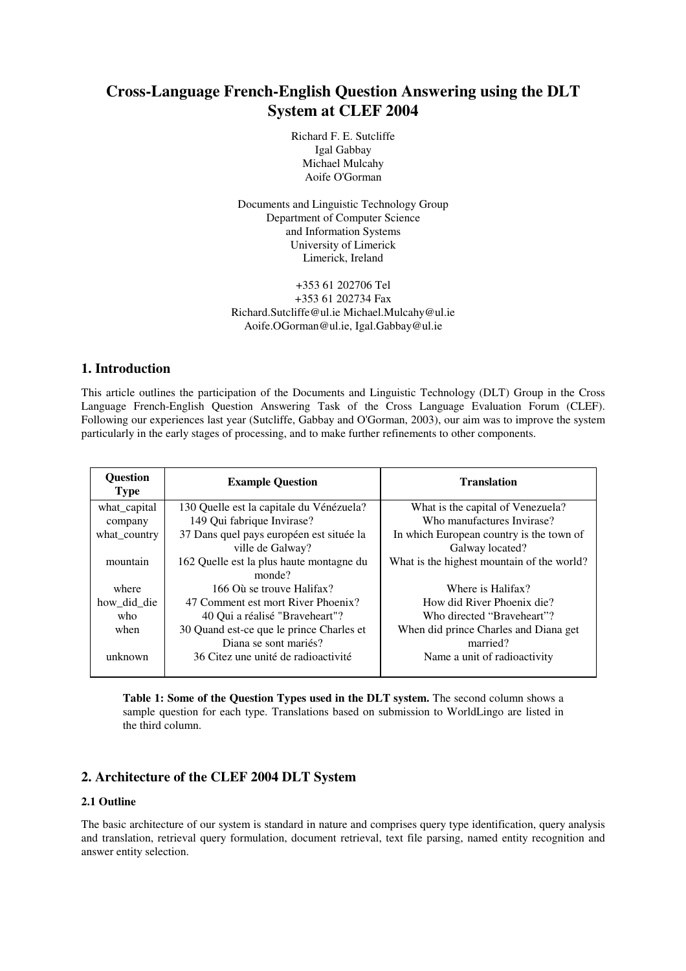# **Cross-Language French-English Question Answering using the DLT System at CLEF 2004**

Richard F. E. Sutcliffe Igal Gabbay Michael Mulcahy Aoife O'Gorman

Documents and Linguistic Technology Group Department of Computer Science and Information Systems University of Limerick Limerick, Ireland

+353 61 202706 Tel +353 61 202734 Fax Richard.Sutcliffe@ul.ie Michael.Mulcahy@ul.ie Aoife.OGorman@ul.ie, Igal.Gabbay@ul.ie

## **1. Introduction**

This article outlines the participation of the Documents and Linguistic Technology (DLT) Group in the Cross Language French-English Question Answering Task of the Cross Language Evaluation Forum (CLEF). Following our experiences last year (Sutcliffe, Gabbay and O'Gorman, 2003), our aim was to improve the system particularly in the early stages of processing, and to make further refinements to other components.

| <b>Ouestion</b><br><b>Type</b> | <b>Example Question</b>                  | <b>Translation</b>                         |  |  |  |  |  |  |  |
|--------------------------------|------------------------------------------|--------------------------------------------|--|--|--|--|--|--|--|
| what_capital                   | 130 Quelle est la capitale du Vénézuela? | What is the capital of Venezuela?          |  |  |  |  |  |  |  |
| company                        | 149 Qui fabrique Invirase?               | Who manufactures Invirase?                 |  |  |  |  |  |  |  |
| what country                   | 37 Dans quel pays européen est située la | In which European country is the town of   |  |  |  |  |  |  |  |
|                                | ville de Galway?                         | Galway located?                            |  |  |  |  |  |  |  |
| mountain                       | 162 Quelle est la plus haute montagne du | What is the highest mountain of the world? |  |  |  |  |  |  |  |
|                                | monde?                                   |                                            |  |  |  |  |  |  |  |
| where                          | 166 Où se trouve Halifax?                | Where is Halifax?                          |  |  |  |  |  |  |  |
| how did die                    | 47 Comment est mort River Phoenix?       | How did River Phoenix die?                 |  |  |  |  |  |  |  |
| who                            | 40 Qui a réalisé "Braveheart"?           | Who directed "Braveheart"?                 |  |  |  |  |  |  |  |
| when                           | 30 Quand est-ce que le prince Charles et | When did prince Charles and Diana get      |  |  |  |  |  |  |  |
|                                | Diana se sont mariés?                    | married?                                   |  |  |  |  |  |  |  |
| unknown                        | 36 Citez une unité de radioactivité      | Name a unit of radioactivity               |  |  |  |  |  |  |  |
|                                |                                          |                                            |  |  |  |  |  |  |  |

**Table 1: Some of the Question Types used in the DLT system.** The second column shows a sample question for each type. Translations based on submission to WorldLingo are listed in the third column.

## **2. Architecture of the CLEF 2004 DLT System**

## **2.1 Outline**

The basic architecture of our system is standard in nature and comprises query type identification, query analysis and translation, retrieval query formulation, document retrieval, text file parsing, named entity recognition and answer entity selection.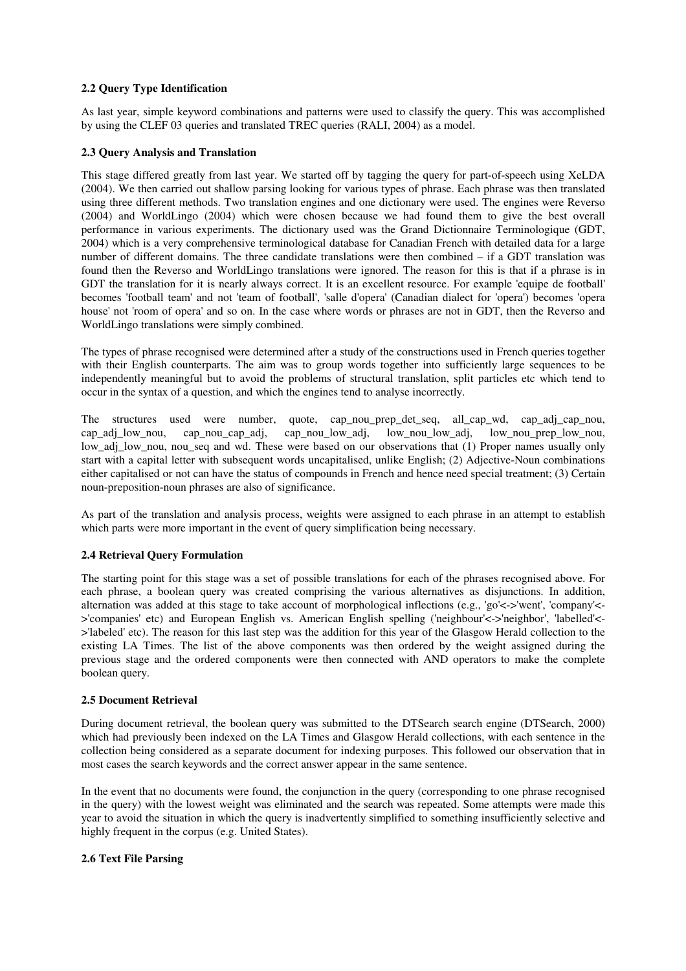## **2.2 Query Type Identification**

As last year, simple keyword combinations and patterns were used to classify the query. This was accomplished by using the CLEF 03 queries and translated TREC queries (RALI, 2004) as a model.

## **2.3 Query Analysis and Translation**

This stage differed greatly from last year. We started off by tagging the query for part-of-speech using XeLDA (2004). We then carried out shallow parsing looking for various types of phrase. Each phrase was then translated using three different methods. Two translation engines and one dictionary were used. The engines were Reverso (2004) and WorldLingo (2004) which were chosen because we had found them to give the best overall performance in various experiments. The dictionary used was the Grand Dictionnaire Terminologique (GDT, 2004) which is a very comprehensive terminological database for Canadian French with detailed data for a large number of different domains. The three candidate translations were then combined – if a GDT translation was found then the Reverso and WorldLingo translations were ignored. The reason for this is that if a phrase is in GDT the translation for it is nearly always correct. It is an excellent resource. For example 'equipe de football' becomes 'football team' and not 'team of football', 'salle d'opera' (Canadian dialect for 'opera') becomes 'opera house' not 'room of opera' and so on. In the case where words or phrases are not in GDT, then the Reverso and WorldLingo translations were simply combined.

The types of phrase recognised were determined after a study of the constructions used in French queries together with their English counterparts. The aim was to group words together into sufficiently large sequences to be independently meaningful but to avoid the problems of structural translation, split particles etc which tend to occur in the syntax of a question, and which the engines tend to analyse incorrectly.

The structures used were number, quote, cap\_nou\_prep\_det\_seq, all\_cap\_wd, cap\_adj\_cap\_nou, cap\_adj\_low\_nou, cap\_nou\_cap\_adj, cap\_nou\_low\_adj, low\_nou\_low\_adj, low\_nou\_prep\_low\_nou, low adj low nou, nou seq and wd. These were based on our observations that (1) Proper names usually only start with a capital letter with subsequent words uncapitalised, unlike English; (2) Adjective-Noun combinations either capitalised or not can have the status of compounds in French and hence need special treatment; (3) Certain noun-preposition-noun phrases are also of significance.

As part of the translation and analysis process, weights were assigned to each phrase in an attempt to establish which parts were more important in the event of query simplification being necessary.

## **2.4 Retrieval Query Formulation**

The starting point for this stage was a set of possible translations for each of the phrases recognised above. For each phrase, a boolean query was created comprising the various alternatives as disjunctions. In addition, alternation was added at this stage to take account of morphological inflections (e.g., 'go'<->'went', 'company'<- >'companies' etc) and European English vs. American English spelling ('neighbour'<->'neighbor', 'labelled'<- >'labeled' etc). The reason for this last step was the addition for this year of the Glasgow Herald collection to the existing LA Times. The list of the above components was then ordered by the weight assigned during the previous stage and the ordered components were then connected with AND operators to make the complete boolean query.

## **2.5 Document Retrieval**

During document retrieval, the boolean query was submitted to the DTSearch search engine (DTSearch, 2000) which had previously been indexed on the LA Times and Glasgow Herald collections, with each sentence in the collection being considered as a separate document for indexing purposes. This followed our observation that in most cases the search keywords and the correct answer appear in the same sentence.

In the event that no documents were found, the conjunction in the query (corresponding to one phrase recognised in the query) with the lowest weight was eliminated and the search was repeated. Some attempts were made this year to avoid the situation in which the query is inadvertently simplified to something insufficiently selective and highly frequent in the corpus (e.g. United States).

## **2.6 Text File Parsing**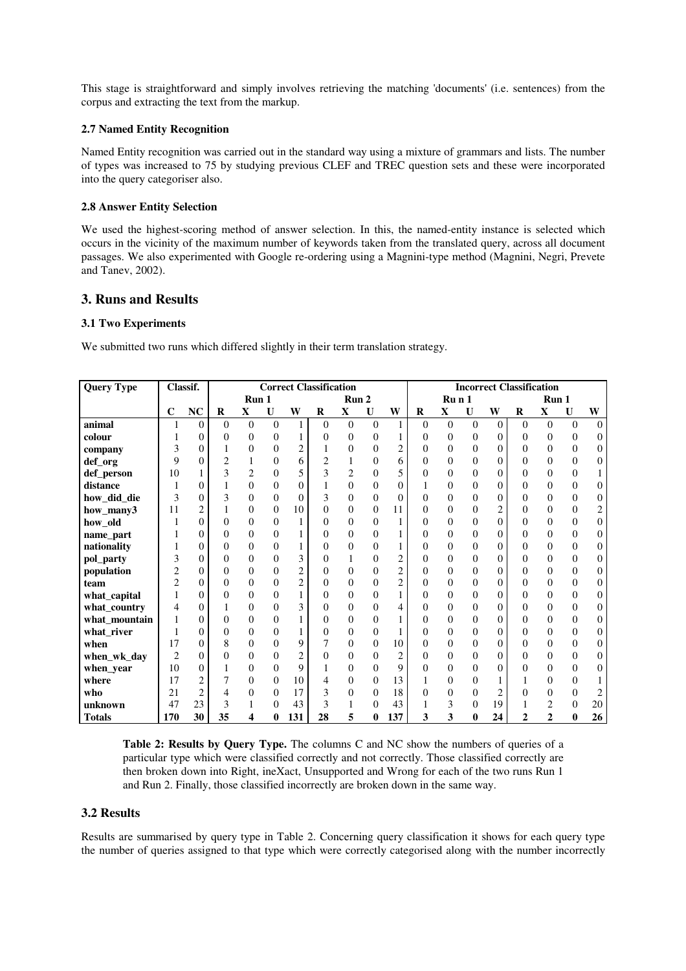This stage is straightforward and simply involves retrieving the matching 'documents' (i.e. sentences) from the corpus and extracting the text from the markup.

#### **2.7 Named Entity Recognition**

Named Entity recognition was carried out in the standard way using a mixture of grammars and lists. The number of types was increased to 75 by studying previous CLEF and TREC question sets and these were incorporated into the query categoriser also.

#### **2.8 Answer Entity Selection**

We used the highest-scoring method of answer selection. In this, the named-entity instance is selected which occurs in the vicinity of the maximum number of keywords taken from the translated query, across all document passages. We also experimented with Google re-ordering using a Magnini-type method (Magnini, Negri, Prevete and Tanev, 2002).

## **3. Runs and Results**

#### **3.1 Two Experiments**

We submitted two runs which differed slightly in their term translation strategy.

| <b>Query Type</b> |                | Classif.<br><b>Correct Classification</b> |                |                |                |                |                |                  |                | <b>Incorrect Classification</b> |          |                |                |                |                |                |                  |                |
|-------------------|----------------|-------------------------------------------|----------------|----------------|----------------|----------------|----------------|------------------|----------------|---------------------------------|----------|----------------|----------------|----------------|----------------|----------------|------------------|----------------|
|                   |                |                                           | Run 1          |                |                |                | Run 2          |                  |                |                                 | Run1     |                |                | Run 1          |                |                |                  |                |
|                   | $\mathbf C$    | NC                                        | $\bf R$        | $\mathbf X$    | $\mathbf U$    | W              | $\bf R$        | X                | U              | W                               | $\bf{R}$ | X              | U              | W              | $\bf R$        | X              | U                | W              |
| animal            |                | $\overline{0}$                            | $\mathbf{0}$   | $\overline{0}$ | $\overline{0}$ | 1              | $\overline{0}$ | $\overline{0}$   | $\overline{0}$ | 1                               | $\theta$ | $\overline{0}$ | $\mathbf{0}$   | $\mathbf{0}$   | $\Omega$       | $\mathbf{0}$   | $\overline{0}$   | $\overline{0}$ |
| colour            |                | $\theta$                                  | $\theta$       | $\mathbf{0}$   | $\theta$       |                | $\Omega$       | $\boldsymbol{0}$ | $\overline{0}$ |                                 | $\theta$ | $\mathbf{0}$   | $\mathbf{0}$   | $\Omega$       | $\Omega$       | $\theta$       | $\overline{0}$   | 0              |
| company           | 3              | $\theta$                                  |                | $\overline{0}$ | $\theta$       | $\overline{2}$ |                | $\mathbf{0}$     | $\overline{0}$ | 2                               | 0        | $\overline{0}$ | $\overline{0}$ | 0              | 0              | $\theta$       | $\overline{0}$   |                |
| def_org           | 9              | $\theta$                                  | $\overline{2}$ | 1              | $\overline{0}$ | 6              | $\overline{c}$ | 1                | $\overline{0}$ | 6                               | 0        | $\overline{0}$ | $\overline{0}$ | $\Omega$       | 0              | $\overline{0}$ | $\overline{0}$   | 0              |
| def_person        | 10             |                                           | 3              | $\overline{c}$ | $\theta$       | 5              | 3              | $\overline{c}$   | $\overline{0}$ | 5                               | 0        | $\overline{0}$ | $\overline{0}$ | $\Omega$       | 0              | 0              | $\overline{0}$   |                |
| distance          |                | 0                                         |                | $\overline{0}$ | $\theta$       | $\theta$       | 1              | $\mathbf{0}$     | $\overline{0}$ | 0                               |          | $\overline{0}$ | $\overline{0}$ | 0              | 0              | $\overline{0}$ | $\overline{0}$   |                |
| how_did_die       | 3              | $\theta$                                  | 3              | $\Omega$       | $\theta$       | $\Omega$       | 3              | $\theta$         | $\theta$       | $\Omega$                        | $\theta$ | $\theta$       | $\overline{0}$ | 0              | 0              | $\theta$       | $\overline{0}$   |                |
| how_many3         | 11             | $\overline{2}$                            |                | $\mathbf{0}$   | $\Omega$       | 10             | $\Omega$       | $\mathbf{0}$     | $\overline{0}$ | 11                              | $\theta$ | $\theta$       | $\mathbf{0}$   | 2              | 0              | $\theta$       | $\overline{0}$   |                |
| how_old           |                | $\theta$                                  | $\theta$       | $\mathbf{0}$   | $\overline{0}$ | 1              | $\theta$       | $\mathbf{0}$     | $\overline{0}$ |                                 | 0        | $\overline{0}$ | $\overline{0}$ | 0              | 0              | 0              | $\overline{0}$   |                |
| name_part         |                | $\theta$                                  | $\Omega$       | $\overline{0}$ | $\Omega$       |                | $\Omega$       | $\mathbf{0}$     | $\theta$       |                                 | 0        | $\overline{0}$ | $\overline{0}$ | $\Omega$       | 0              | 0              | $\overline{0}$   |                |
| nationality       |                | $\theta$                                  | $\Omega$       | $\mathbf{0}$   | $\Omega$       |                | $\Omega$       | $\theta$         | $\Omega$       |                                 | 0        | $\theta$       | $\mathbf{0}$   | 0              | 0              | 0              | $\overline{0}$   |                |
| pol_party         | 3              | $\theta$                                  | $\Omega$       | $\theta$       | $\overline{0}$ | 3              | $\theta$       | 1                | $\overline{0}$ | 2                               | 0        | $\overline{0}$ | $\mathbf{0}$   | $\theta$       | 0              | $\overline{0}$ | $\boldsymbol{0}$ | 0              |
| population        | $\overline{c}$ | $\theta$                                  | $\Omega$       | $\Omega$       | $\theta$       | $\overline{c}$ | $\theta$       | $\mathbf{0}$     | $\overline{0}$ | $\overline{c}$                  | 0        | $\overline{0}$ | $\overline{0}$ | $\Omega$       | 0              | 0              | $\overline{0}$   |                |
| team              | $\overline{c}$ | $\Omega$                                  | $\theta$       | $\theta$       | $\theta$       | $\overline{2}$ | $\Omega$       | $\Omega$         | $\theta$       | $\overline{2}$                  | 0        | $\theta$       | $\overline{0}$ | 0              | 0              | $\theta$       | $\theta$         |                |
| what_capital      |                | $\theta$                                  | $\overline{0}$ | $\mathbf{0}$   | $\overline{0}$ | 1              | $\Omega$       | $\mathbf{0}$     | $\overline{0}$ |                                 | 0        | $\overline{0}$ | $\overline{0}$ | $\Omega$       | 0              | 0              | $\overline{0}$   | 0              |
| what_country      | 4              | $\theta$                                  |                | $\overline{0}$ | $\theta$       | 3              | 0              | $\theta$         | $\overline{0}$ | 4                               | 0        | $\overline{0}$ | $\overline{0}$ | 0              | 0              | 0              | $\overline{0}$   |                |
| what_mountain     |                | $\theta$                                  | $\theta$       | $\theta$       | $\theta$       |                | $\Omega$       | $\mathbf{0}$     | $\overline{0}$ |                                 | $\theta$ | $\overline{0}$ | $\overline{0}$ | $\theta$       | 0              | $\theta$       | $\overline{0}$   | 0              |
| what_river        |                | $\theta$                                  | $\theta$       | $\Omega$       | $\theta$       | 1              | $\Omega$       | $\Omega$         | $\Omega$       |                                 | $\theta$ | $\theta$       | $\overline{0}$ | $\Omega$       | 0              | 0              | $\overline{0}$   | 0              |
| when              | 17             | $\theta$                                  | 8              | $\mathbf{0}$   | $\theta$       | 9              |                | $\mathbf{0}$     | $\overline{0}$ | 10                              | $\theta$ | $\overline{0}$ | $\overline{0}$ | 0              | 0              | $\overline{0}$ | $\overline{0}$   | 0              |
| when_wk_day       | $\overline{2}$ | $\theta$                                  | $\theta$       | $\theta$       | $\theta$       | $\overline{2}$ | $\theta$       | $\mathbf{0}$     | $\overline{0}$ | $\overline{c}$                  | $\theta$ | $\theta$       | $\overline{0}$ | 0              | $\Omega$       | $\theta$       | $\overline{0}$   | 0              |
| when_year         | 10             | $\theta$                                  |                | $\mathbf{0}$   | $\theta$       | 9              |                | $\mathbf{0}$     | $\theta$       | 9                               | 0        | $\theta$       | $\overline{0}$ | 0              | 0              | 0              | $\overline{0}$   |                |
| where             | 17             | $\overline{2}$                            |                | $\Omega$       | 0              | 10             | 4              | $\mathbf{0}$     | $\overline{0}$ | 13                              |          | $\theta$       | $\theta$       |                |                | 0              | $\overline{0}$   |                |
| who               | 21             | $\overline{c}$                            | 4              | $\overline{0}$ | 0              | 17             | 3              | $\mathbf{0}$     | $\Omega$       | 18                              | $\theta$ | $\theta$       | $\mathbf{0}$   | $\overline{2}$ |                | 0              | $\overline{0}$   |                |
| unknown           | 47             | 23                                        | 3              |                | 0              | 43             | 3              | 1                | $\Omega$       | 43                              |          | 3              | $\overline{0}$ | 19             |                | 2              | $\overline{0}$   | 20             |
| <b>Totals</b>     | 170            | 30                                        | 35             | 4              | 0              | 131            | 28             | 5                | 0              | 137                             | 3        | 3              | $\bf{0}$       | 24             | $\overline{2}$ | $\overline{2}$ | $\bf{0}$         | 26             |

**Table 2: Results by Query Type.** The columns C and NC show the numbers of queries of a particular type which were classified correctly and not correctly. Those classified correctly are then broken down into Right, ineXact, Unsupported and Wrong for each of the two runs Run 1 and Run 2. Finally, those classified incorrectly are broken down in the same way.

## **3.2 Results**

Results are summarised by query type in Table 2. Concerning query classification it shows for each query type the number of queries assigned to that type which were correctly categorised along with the number incorrectly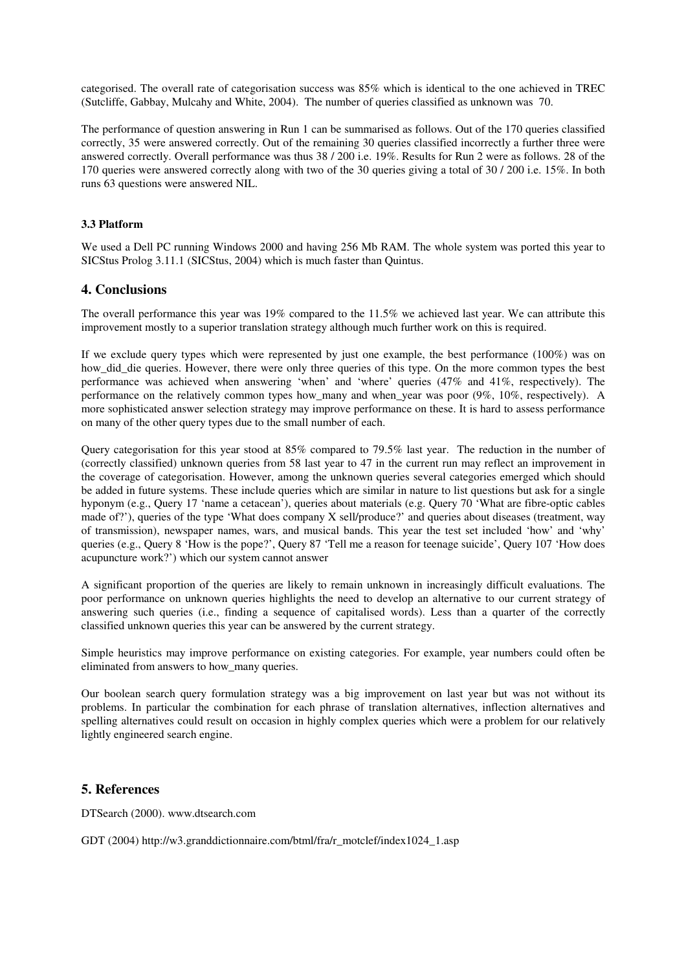categorised. The overall rate of categorisation success was 85% which is identical to the one achieved in TREC (Sutcliffe, Gabbay, Mulcahy and White, 2004). The number of queries classified as unknown was 70.

The performance of question answering in Run 1 can be summarised as follows. Out of the 170 queries classified correctly, 35 were answered correctly. Out of the remaining 30 queries classified incorrectly a further three were answered correctly. Overall performance was thus 38 / 200 i.e. 19%. Results for Run 2 were as follows. 28 of the 170 queries were answered correctly along with two of the 30 queries giving a total of 30 / 200 i.e. 15%. In both runs 63 questions were answered NIL.

## **3.3 Platform**

We used a Dell PC running Windows 2000 and having 256 Mb RAM. The whole system was ported this year to SICStus Prolog 3.11.1 (SICStus, 2004) which is much faster than Quintus.

## **4. Conclusions**

The overall performance this year was 19% compared to the 11.5% we achieved last year. We can attribute this improvement mostly to a superior translation strategy although much further work on this is required.

If we exclude query types which were represented by just one example, the best performance (100%) was on how\_did\_die queries. However, there were only three queries of this type. On the more common types the best performance was achieved when answering 'when' and 'where' queries (47% and 41%, respectively). The performance on the relatively common types how\_many and when\_year was poor (9%, 10%, respectively). A more sophisticated answer selection strategy may improve performance on these. It is hard to assess performance on many of the other query types due to the small number of each.

Query categorisation for this year stood at 85% compared to 79.5% last year. The reduction in the number of (correctly classified) unknown queries from 58 last year to 47 in the current run may reflect an improvement in the coverage of categorisation. However, among the unknown queries several categories emerged which should be added in future systems. These include queries which are similar in nature to list questions but ask for a single hyponym (e.g., Query 17 'name a cetacean'), queries about materials (e.g. Query 70 'What are fibre-optic cables made of?'), queries of the type 'What does company X sell/produce?' and queries about diseases (treatment, way of transmission), newspaper names, wars, and musical bands. This year the test set included 'how' and 'why' queries (e.g., Query 8 'How is the pope?', Query 87 'Tell me a reason for teenage suicide', Query 107 'How does acupuncture work?') which our system cannot answer

A significant proportion of the queries are likely to remain unknown in increasingly difficult evaluations. The poor performance on unknown queries highlights the need to develop an alternative to our current strategy of answering such queries (i.e., finding a sequence of capitalised words). Less than a quarter of the correctly classified unknown queries this year can be answered by the current strategy.

Simple heuristics may improve performance on existing categories. For example, year numbers could often be eliminated from answers to how\_many queries.

Our boolean search query formulation strategy was a big improvement on last year but was not without its problems. In particular the combination for each phrase of translation alternatives, inflection alternatives and spelling alternatives could result on occasion in highly complex queries which were a problem for our relatively lightly engineered search engine.

## **5. References**

DTSearch (2000). www.dtsearch.com

GDT (2004) http://w3.granddictionnaire.com/btml/fra/r\_motclef/index1024\_1.asp